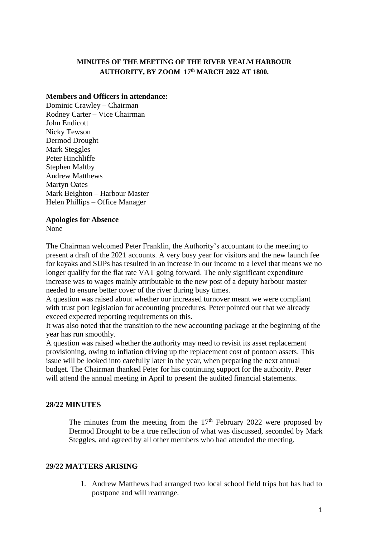# **MINUTES OF THE MEETING OF THE RIVER YEALM HARBOUR AUTHORITY, BY ZOOM 17th MARCH 2022 AT 1800.**

### **Members and Officers in attendance:**

Dominic Crawley – Chairman Rodney Carter – Vice Chairman John Endicott Nicky Tewson Dermod Drought Mark Steggles Peter Hinchliffe Stephen Maltby Andrew Matthews Martyn Oates Mark Beighton – Harbour Master Helen Phillips – Office Manager

#### **Apologies for Absence**

None

The Chairman welcomed Peter Franklin, the Authority's accountant to the meeting to present a draft of the 2021 accounts. A very busy year for visitors and the new launch fee for kayaks and SUPs has resulted in an increase in our income to a level that means we no longer qualify for the flat rate VAT going forward. The only significant expenditure increase was to wages mainly attributable to the new post of a deputy harbour master needed to ensure better cover of the river during busy times.

A question was raised about whether our increased turnover meant we were compliant with trust port legislation for accounting procedures. Peter pointed out that we already exceed expected reporting requirements on this.

It was also noted that the transition to the new accounting package at the beginning of the year has run smoothly.

A question was raised whether the authority may need to revisit its asset replacement provisioning, owing to inflation driving up the replacement cost of pontoon assets. This issue will be looked into carefully later in the year, when preparing the next annual budget. The Chairman thanked Peter for his continuing support for the authority. Peter will attend the annual meeting in April to present the audited financial statements.

# **28/22 MINUTES**

The minutes from the meeting from the  $17<sup>th</sup>$  February 2022 were proposed by Dermod Drought to be a true reflection of what was discussed, seconded by Mark Steggles, and agreed by all other members who had attended the meeting.

# **29/22 MATTERS ARISING**

1. Andrew Matthews had arranged two local school field trips but has had to postpone and will rearrange.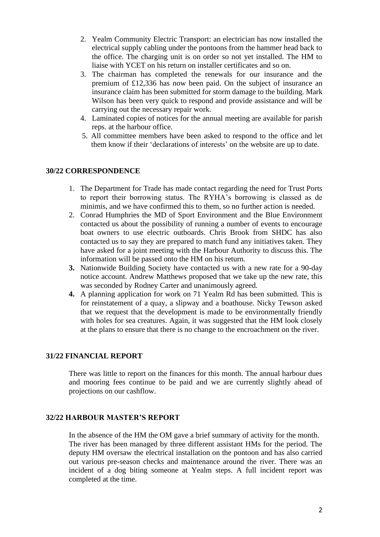- 2. Yealm Community Electric Transport: an electrician has now installed the electrical supply cabling under the pontoons from the hammer head back to the office. The charging unit is on order so not yet installed. The HM to liaise with YCET on his return on installer certificates and so on.
- 3. The chairman has completed the renewals for our insurance and the premium of £12,336 has now been paid. On the subject of insurance an insurance claim has been submitted for storm damage to the building. Mark Wilson has been very quick to respond and provide assistance and will be carrying out the necessary repair work.
- 4. Laminated copies of notices for the annual meeting are available for parish reps. at the harbour office.
- 5. All committee members have been asked to respond to the office and let them know if their 'declarations of interests' on the website are up to date.

### **30/22 CORRESPONDENCE**

- 1. The Department for Trade has made contact regarding the need for Trust Ports to report their borrowing status. The RYHA's borrowing is classed as de minimis, and we have confirmed this to them, so no further action is needed.
- 2. Conrad Humphries the MD of Sport Environment and the Blue Environment contacted us about the possibility of running a number of events to encourage boat owners to use electric outboards. Chris Brook from SHDC has also contacted us to say they are prepared to match fund any initiatives taken. They have asked for a joint meeting with the Harbour Authority to discuss this. The information will be passed onto the HM on his return.
- **3.** Nationwide Building Society have contacted us with a new rate for a 90-day notice account. Andrew Matthews proposed that we take up the new rate, this was seconded by Rodney Carter and unanimously agreed.
- **4.** A planning application for work on 71 Yealm Rd has been submitted. This is for reinstatement of a quay, a slipway and a boathouse. Nicky Tewson asked that we request that the development is made to be environmentally friendly with holes for sea creatures. Again, it was suggested that the HM look closely at the plans to ensure that there is no change to the encroachment on the river.

#### **31/22 FINANCIAL REPORT**

There was little to report on the finances for this month. The annual harbour dues and mooring fees continue to be paid and we are currently slightly ahead of projections on our cashflow.

### **32/22 HARBOUR MASTER'S REPORT**

In the absence of the HM the OM gave a brief summary of activity for the month. The river has been managed by three different assistant HMs for the period. The deputy HM oversaw the electrical installation on the pontoon and has also carried out various pre-season checks and maintenance around the river. There was an incident of a dog biting someone at Yealm steps. A full incident report was completed at the time.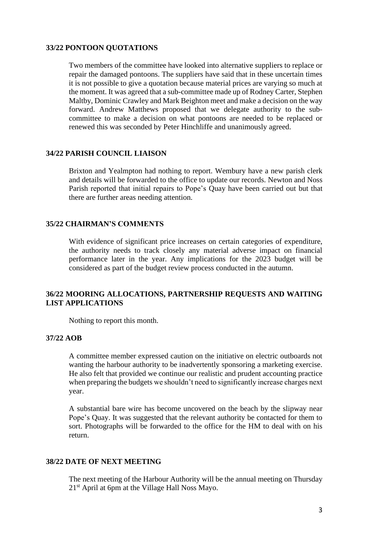### **33/22 PONTOON QUOTATIONS**

Two members of the committee have looked into alternative suppliers to replace or repair the damaged pontoons. The suppliers have said that in these uncertain times it is not possible to give a quotation because material prices are varying so much at the moment. It was agreed that a sub-committee made up of Rodney Carter, Stephen Maltby, Dominic Crawley and Mark Beighton meet and make a decision on the way forward. Andrew Matthews proposed that we delegate authority to the subcommittee to make a decision on what pontoons are needed to be replaced or renewed this was seconded by Peter Hinchliffe and unanimously agreed.

#### **34/22 PARISH COUNCIL LIAISON**

Brixton and Yealmpton had nothing to report. Wembury have a new parish clerk and details will be forwarded to the office to update our records. Newton and Noss Parish reported that initial repairs to Pope's Quay have been carried out but that there are further areas needing attention.

#### **35/22 CHAIRMAN'S COMMENTS**

With evidence of significant price increases on certain categories of expenditure, the authority needs to track closely any material adverse impact on financial performance later in the year. Any implications for the 2023 budget will be considered as part of the budget review process conducted in the autumn.

### **36/22 MOORING ALLOCATIONS, PARTNERSHIP REQUESTS AND WAITING LIST APPLICATIONS**

Nothing to report this month.

### **37/22 AOB**

A committee member expressed caution on the initiative on electric outboards not wanting the harbour authority to be inadvertently sponsoring a marketing exercise. He also felt that provided we continue our realistic and prudent accounting practice when preparing the budgets we shouldn't need to significantly increase charges next year.

A substantial bare wire has become uncovered on the beach by the slipway near Pope's Quay. It was suggested that the relevant authority be contacted for them to sort. Photographs will be forwarded to the office for the HM to deal with on his return.

#### **38/22 DATE OF NEXT MEETING**

The next meeting of the Harbour Authority will be the annual meeting on Thursday 21st April at 6pm at the Village Hall Noss Mayo.